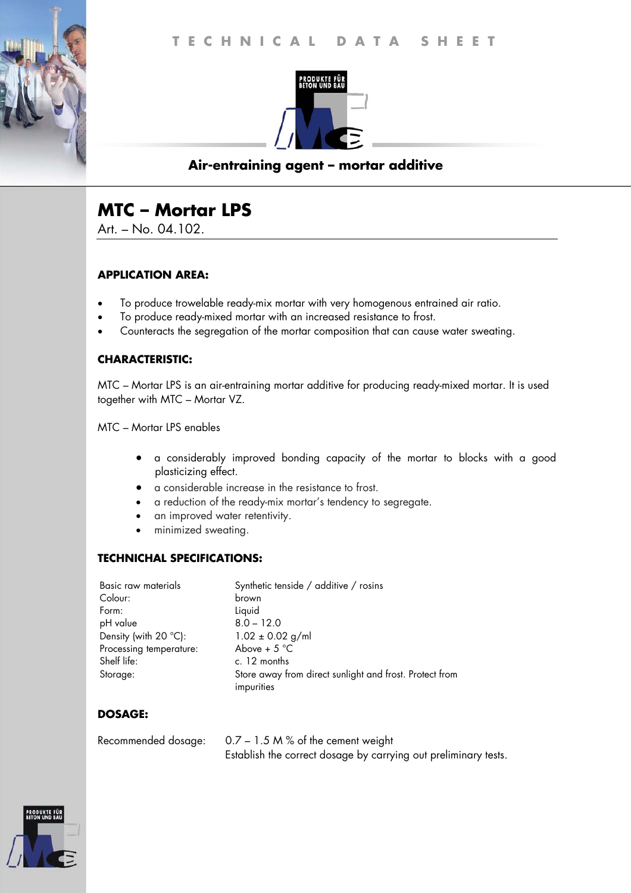

## **Air-entraining agent – mortar additive**

# **MTC – Mortar LPS**

Art. – No. 04.102.

#### **APPLICATION AREA:**

- To produce trowelable ready-mix mortar with very homogenous entrained air ratio.
- To produce ready-mixed mortar with an increased resistance to frost.
- Counteracts the segregation of the mortar composition that can cause water sweating.

### **CHARACTERISTIC:**

MTC – Mortar LPS is an air-entraining mortar additive for producing ready-mixed mortar. It is used together with MTC – Mortar VZ.

MTC – Mortar LPS enables

- a considerably improved bonding capacity of the mortar to blocks with a good plasticizing effect.
- a considerable increase in the resistance to frost.
- a reduction of the ready-mix mortar's tendency to segregate.
- an improved water retentivity.
- minimized sweating.

### **TECHNICHAL SPECIFICATIONS:**

| Basic raw materials            | Synthetic tenside / additive / rosins                   |
|--------------------------------|---------------------------------------------------------|
| Colour:                        | brown                                                   |
| Form:                          | Liquid                                                  |
| pH value                       | $8.0 - 12.0$                                            |
| Density (with $20^{\circ}$ C): | $1.02 \pm 0.02$ g/ml                                    |
| Processing temperature:        | Above + $5^{\circ}$ C                                   |
| Shelf life:                    | c. 12 months                                            |
| Storage:                       | Store away from direct sunlight and frost. Protect from |
|                                | impurities                                              |

### **DOSAGE:**

| Recommended dosage: | $0.7 - 1.5$ M % of the cement weight                            |
|---------------------|-----------------------------------------------------------------|
|                     | Establish the correct dosage by carrying out preliminary tests. |